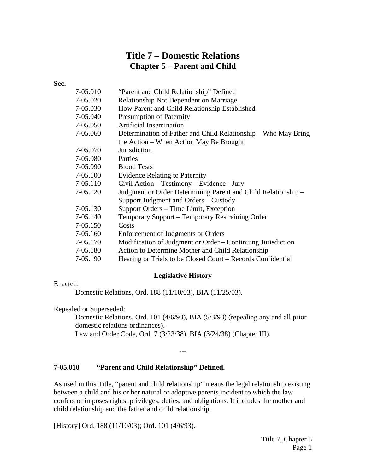# **Title 7 – Domestic Relations Chapter 5 – Parent and Child**

#### **Sec.**

| 7-05.010 | "Parent and Child Relationship" Defined                        |
|----------|----------------------------------------------------------------|
| 7-05.020 | Relationship Not Dependent on Marriage                         |
| 7-05.030 | How Parent and Child Relationship Established                  |
| 7-05.040 | <b>Presumption of Paternity</b>                                |
| 7-05.050 | <b>Artificial Insemination</b>                                 |
| 7-05.060 | Determination of Father and Child Relationship – Who May Bring |
|          | the Action – When Action May Be Brought                        |
| 7-05.070 | Jurisdiction                                                   |
| 7-05.080 | Parties                                                        |
| 7-05.090 | <b>Blood Tests</b>                                             |
| 7-05.100 | <b>Evidence Relating to Paternity</b>                          |
| 7-05.110 | Civil Action – Testimony – Evidence - Jury                     |
| 7-05.120 | Judgment or Order Determining Parent and Child Relationship -  |
|          | Support Judgment and Orders – Custody                          |
| 7-05.130 | Support Orders – Time Limit, Exception                         |
| 7-05.140 | Temporary Support – Temporary Restraining Order                |
| 7-05.150 | Costs                                                          |
| 7-05.160 | Enforcement of Judgments or Orders                             |
| 7-05.170 | Modification of Judgment or Order – Continuing Jurisdiction    |
| 7-05.180 | Action to Determine Mother and Child Relationship              |
| 7-05.190 | Hearing or Trials to be Closed Court – Records Confidential    |
|          |                                                                |

#### **Legislative History**

## Enacted:

Domestic Relations, Ord. 188 (11/10/03), BIA (11/25/03).

Repealed or Superseded:

Domestic Relations, Ord. 101 (4/6/93), BIA (5/3/93) (repealing any and all prior domestic relations ordinances). Law and Order Code, Ord. 7 (3/23/38), BIA (3/24/38) (Chapter III).

#### **7-05.010 "Parent and Child Relationship" Defined.**

As used in this Title, "parent and child relationship" means the legal relationship existing between a child and his or her natural or adoptive parents incident to which the law confers or imposes rights, privileges, duties, and obligations. It includes the mother and child relationship and the father and child relationship.

---

[History] Ord. 188 (11/10/03); Ord. 101 (4/6/93).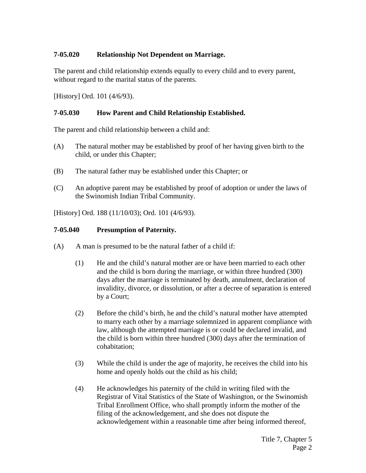# **7-05.020 Relationship Not Dependent on Marriage.**

The parent and child relationship extends equally to every child and to every parent, without regard to the marital status of the parents.

[History] Ord. 101 (4/6/93).

# **7-05.030 How Parent and Child Relationship Established.**

The parent and child relationship between a child and:

- (A) The natural mother may be established by proof of her having given birth to the child, or under this Chapter;
- (B) The natural father may be established under this Chapter; or
- (C) An adoptive parent may be established by proof of adoption or under the laws of the Swinomish Indian Tribal Community.

[History] Ord. 188 (11/10/03); Ord. 101 (4/6/93).

### **7-05.040 Presumption of Paternity.**

- (A) A man is presumed to be the natural father of a child if:
	- (1) He and the child's natural mother are or have been married to each other and the child is born during the marriage, or within three hundred (300) days after the marriage is terminated by death, annulment, declaration of invalidity, divorce, or dissolution, or after a decree of separation is entered by a Court;
	- (2) Before the child's birth, he and the child's natural mother have attempted to marry each other by a marriage solemnized in apparent compliance with law, although the attempted marriage is or could be declared invalid, and the child is born within three hundred (300) days after the termination of cohabitation;
	- (3) While the child is under the age of majority, he receives the child into his home and openly holds out the child as his child;
	- (4) He acknowledges his paternity of the child in writing filed with the Registrar of Vital Statistics of the State of Washington, or the Swinomish Tribal Enrollment Office, who shall promptly inform the mother of the filing of the acknowledgement, and she does not dispute the acknowledgement within a reasonable time after being informed thereof,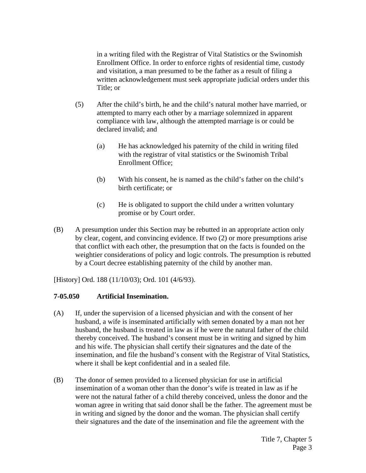in a writing filed with the Registrar of Vital Statistics or the Swinomish Enrollment Office. In order to enforce rights of residential time, custody and visitation, a man presumed to be the father as a result of filing a written acknowledgement must seek appropriate judicial orders under this Title; or

- (5) After the child's birth, he and the child's natural mother have married, or attempted to marry each other by a marriage solemnized in apparent compliance with law, although the attempted marriage is or could be declared invalid; and
	- (a) He has acknowledged his paternity of the child in writing filed with the registrar of vital statistics or the Swinomish Tribal Enrollment Office;
	- (b) With his consent, he is named as the child's father on the child's birth certificate; or
	- (c) He is obligated to support the child under a written voluntary promise or by Court order.
- (B) A presumption under this Section may be rebutted in an appropriate action only by clear, cogent, and convincing evidence. If two (2) or more presumptions arise that conflict with each other, the presumption that on the facts is founded on the weightier considerations of policy and logic controls. The presumption is rebutted by a Court decree establishing paternity of the child by another man.

[History] Ord. 188 (11/10/03); Ord. 101 (4/6/93).

## **7-05.050 Artificial Insemination.**

- (A) If, under the supervision of a licensed physician and with the consent of her husband, a wife is inseminated artificially with semen donated by a man not her husband, the husband is treated in law as if he were the natural father of the child thereby conceived. The husband's consent must be in writing and signed by him and his wife. The physician shall certify their signatures and the date of the insemination, and file the husband's consent with the Registrar of Vital Statistics, where it shall be kept confidential and in a sealed file.
- (B) The donor of semen provided to a licensed physician for use in artificial insemination of a woman other than the donor's wife is treated in law as if he were not the natural father of a child thereby conceived, unless the donor and the woman agree in writing that said donor shall be the father. The agreement must be in writing and signed by the donor and the woman. The physician shall certify their signatures and the date of the insemination and file the agreement with the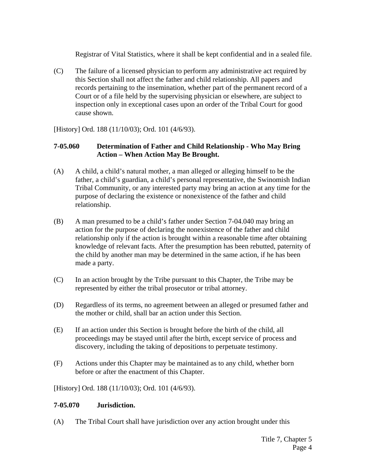Registrar of Vital Statistics, where it shall be kept confidential and in a sealed file.

(C) The failure of a licensed physician to perform any administrative act required by this Section shall not affect the father and child relationship. All papers and records pertaining to the insemination, whether part of the permanent record of a Court or of a file held by the supervising physician or elsewhere, are subject to inspection only in exceptional cases upon an order of the Tribal Court for good cause shown.

[History] Ord. 188 (11/10/03); Ord. 101 (4/6/93).

# **7-05.060 Determination of Father and Child Relationship - Who May Bring Action – When Action May Be Brought.**

- (A) A child, a child's natural mother, a man alleged or alleging himself to be the father, a child's guardian, a child's personal representative, the Swinomish Indian Tribal Community, or any interested party may bring an action at any time for the purpose of declaring the existence or nonexistence of the father and child relationship.
- (B) A man presumed to be a child's father under Section 7-04.040 may bring an action for the purpose of declaring the nonexistence of the father and child relationship only if the action is brought within a reasonable time after obtaining knowledge of relevant facts. After the presumption has been rebutted, paternity of the child by another man may be determined in the same action, if he has been made a party.
- (C) In an action brought by the Tribe pursuant to this Chapter, the Tribe may be represented by either the tribal prosecutor or tribal attorney.
- (D) Regardless of its terms, no agreement between an alleged or presumed father and the mother or child, shall bar an action under this Section.
- (E) If an action under this Section is brought before the birth of the child, all proceedings may be stayed until after the birth, except service of process and discovery, including the taking of depositions to perpetuate testimony.
- (F) Actions under this Chapter may be maintained as to any child, whether born before or after the enactment of this Chapter.

[History] Ord. 188 (11/10/03); Ord. 101 (4/6/93).

# **7-05.070 Jurisdiction.**

(A) The Tribal Court shall have jurisdiction over any action brought under this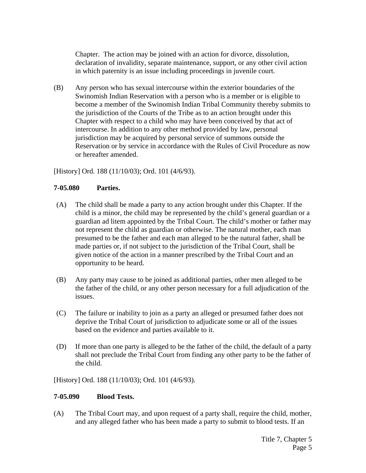Chapter. The action may be joined with an action for divorce, dissolution, declaration of invalidity, separate maintenance, support, or any other civil action in which paternity is an issue including proceedings in juvenile court.

(B) Any person who has sexual intercourse within the exterior boundaries of the Swinomish Indian Reservation with a person who is a member or is eligible to become a member of the Swinomish Indian Tribal Community thereby submits to the jurisdiction of the Courts of the Tribe as to an action brought under this Chapter with respect to a child who may have been conceived by that act of intercourse. In addition to any other method provided by law, personal jurisdiction may be acquired by personal service of summons outside the Reservation or by service in accordance with the Rules of Civil Procedure as now or hereafter amended.

[History] Ord. 188 (11/10/03); Ord. 101 (4/6/93).

### **7-05.080 Parties.**

- (A) The child shall be made a party to any action brought under this Chapter. If the child is a minor, the child may be represented by the child's general guardian or a guardian ad litem appointed by the Tribal Court. The child's mother or father may not represent the child as guardian or otherwise. The natural mother, each man presumed to be the father and each man alleged to be the natural father, shall be made parties or, if not subject to the jurisdiction of the Tribal Court, shall be given notice of the action in a manner prescribed by the Tribal Court and an opportunity to be heard.
- (B) Any party may cause to be joined as additional parties, other men alleged to be the father of the child, or any other person necessary for a full adjudication of the issues.
- (C) The failure or inability to join as a party an alleged or presumed father does not deprive the Tribal Court of jurisdiction to adjudicate some or all of the issues based on the evidence and parties available to it.
- (D) If more than one party is alleged to be the father of the child, the default of a party shall not preclude the Tribal Court from finding any other party to be the father of the child.

[History] Ord. 188 (11/10/03); Ord. 101 (4/6/93).

#### **7-05.090 Blood Tests.**

(A) The Tribal Court may, and upon request of a party shall, require the child, mother, and any alleged father who has been made a party to submit to blood tests. If an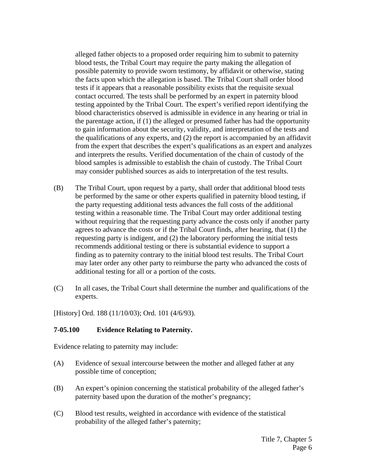alleged father objects to a proposed order requiring him to submit to paternity blood tests, the Tribal Court may require the party making the allegation of possible paternity to provide sworn testimony, by affidavit or otherwise, stating the facts upon which the allegation is based. The Tribal Court shall order blood tests if it appears that a reasonable possibility exists that the requisite sexual contact occurred. The tests shall be performed by an expert in paternity blood testing appointed by the Tribal Court. The expert's verified report identifying the blood characteristics observed is admissible in evidence in any hearing or trial in the parentage action, if (1) the alleged or presumed father has had the opportunity to gain information about the security, validity, and interpretation of the tests and the qualifications of any experts, and (2) the report is accompanied by an affidavit from the expert that describes the expert's qualifications as an expert and analyzes and interprets the results. Verified documentation of the chain of custody of the blood samples is admissible to establish the chain of custody. The Tribal Court may consider published sources as aids to interpretation of the test results.

- (B) The Tribal Court, upon request by a party, shall order that additional blood tests be performed by the same or other experts qualified in paternity blood testing, if the party requesting additional tests advances the full costs of the additional testing within a reasonable time. The Tribal Court may order additional testing without requiring that the requesting party advance the costs only if another party agrees to advance the costs or if the Tribal Court finds, after hearing, that (1) the requesting party is indigent, and (2) the laboratory performing the initial tests recommends additional testing or there is substantial evidence to support a finding as to paternity contrary to the initial blood test results. The Tribal Court may later order any other party to reimburse the party who advanced the costs of additional testing for all or a portion of the costs.
- (C) In all cases, the Tribal Court shall determine the number and qualifications of the experts.

[History] Ord. 188 (11/10/03); Ord. 101 (4/6/93).

## **7-05.100 Evidence Relating to Paternity.**

Evidence relating to paternity may include:

- (A) Evidence of sexual intercourse between the mother and alleged father at any possible time of conception;
- (B) An expert's opinion concerning the statistical probability of the alleged father's paternity based upon the duration of the mother's pregnancy;
- (C) Blood test results, weighted in accordance with evidence of the statistical probability of the alleged father's paternity;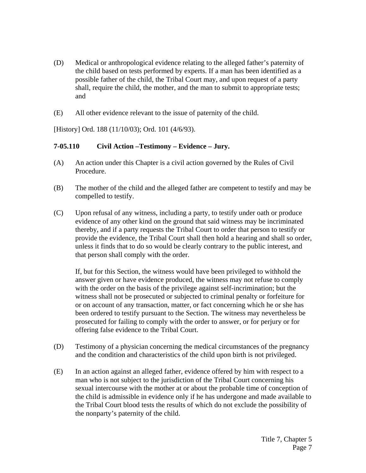- (D) Medical or anthropological evidence relating to the alleged father's paternity of the child based on tests performed by experts. If a man has been identified as a possible father of the child, the Tribal Court may, and upon request of a party shall, require the child, the mother, and the man to submit to appropriate tests; and
- (E) All other evidence relevant to the issue of paternity of the child.

[History] Ord. 188 (11/10/03); Ord. 101 (4/6/93).

## **7-05.110 Civil Action –Testimony – Evidence – Jury.**

- (A) An action under this Chapter is a civil action governed by the Rules of Civil Procedure.
- (B) The mother of the child and the alleged father are competent to testify and may be compelled to testify.
- (C) Upon refusal of any witness, including a party, to testify under oath or produce evidence of any other kind on the ground that said witness may be incriminated thereby, and if a party requests the Tribal Court to order that person to testify or provide the evidence, the Tribal Court shall then hold a hearing and shall so order, unless it finds that to do so would be clearly contrary to the public interest, and that person shall comply with the order.

 If, but for this Section, the witness would have been privileged to withhold the answer given or have evidence produced, the witness may not refuse to comply with the order on the basis of the privilege against self-incrimination; but the witness shall not be prosecuted or subjected to criminal penalty or forfeiture for or on account of any transaction, matter, or fact concerning which he or she has been ordered to testify pursuant to the Section. The witness may nevertheless be prosecuted for failing to comply with the order to answer, or for perjury or for offering false evidence to the Tribal Court.

- (D) Testimony of a physician concerning the medical circumstances of the pregnancy and the condition and characteristics of the child upon birth is not privileged.
- (E) In an action against an alleged father, evidence offered by him with respect to a man who is not subject to the jurisdiction of the Tribal Court concerning his sexual intercourse with the mother at or about the probable time of conception of the child is admissible in evidence only if he has undergone and made available to the Tribal Court blood tests the results of which do not exclude the possibility of the nonparty's paternity of the child.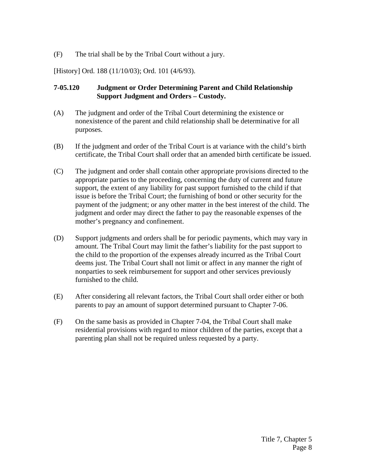(F) The trial shall be by the Tribal Court without a jury.

[History] Ord. 188 (11/10/03); Ord. 101 (4/6/93).

# **7-05.120 Judgment or Order Determining Parent and Child Relationship Support Judgment and Orders – Custody.**

- (A) The judgment and order of the Tribal Court determining the existence or nonexistence of the parent and child relationship shall be determinative for all purposes.
- (B) If the judgment and order of the Tribal Court is at variance with the child's birth certificate, the Tribal Court shall order that an amended birth certificate be issued.
- (C) The judgment and order shall contain other appropriate provisions directed to the appropriate parties to the proceeding, concerning the duty of current and future support, the extent of any liability for past support furnished to the child if that issue is before the Tribal Court; the furnishing of bond or other security for the payment of the judgment; or any other matter in the best interest of the child. The judgment and order may direct the father to pay the reasonable expenses of the mother's pregnancy and confinement.
- (D) Support judgments and orders shall be for periodic payments, which may vary in amount. The Tribal Court may limit the father's liability for the past support to the child to the proportion of the expenses already incurred as the Tribal Court deems just. The Tribal Court shall not limit or affect in any manner the right of nonparties to seek reimbursement for support and other services previously furnished to the child.
- (E) After considering all relevant factors, the Tribal Court shall order either or both parents to pay an amount of support determined pursuant to Chapter 7-06.
- (F) On the same basis as provided in Chapter 7-04, the Tribal Court shall make residential provisions with regard to minor children of the parties, except that a parenting plan shall not be required unless requested by a party.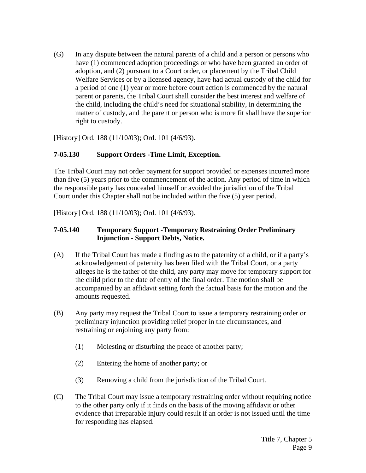(G) In any dispute between the natural parents of a child and a person or persons who have (1) commenced adoption proceedings or who have been granted an order of adoption, and (2) pursuant to a Court order, or placement by the Tribal Child Welfare Services or by a licensed agency, have had actual custody of the child for a period of one (1) year or more before court action is commenced by the natural parent or parents, the Tribal Court shall consider the best interest and welfare of the child, including the child's need for situational stability, in determining the matter of custody, and the parent or person who is more fit shall have the superior right to custody.

[History] Ord. 188 (11/10/03); Ord. 101 (4/6/93).

# **7-05.130 Support Orders -Time Limit, Exception.**

The Tribal Court may not order payment for support provided or expenses incurred more than five (5) years prior to the commencement of the action. Any period of time in which the responsible party has concealed himself or avoided the jurisdiction of the Tribal Court under this Chapter shall not be included within the five (5) year period.

[History] Ord. 188 (11/10/03); Ord. 101 (4/6/93).

# **7-05.140 Temporary Support -Temporary Restraining Order Preliminary Injunction - Support Debts, Notice.**

- (A) If the Tribal Court has made a finding as to the paternity of a child, or if a party's acknowledgement of paternity has been filed with the Tribal Court, or a party alleges he is the father of the child, any party may move for temporary support for the child prior to the date of entry of the final order. The motion shall be accompanied by an affidavit setting forth the factual basis for the motion and the amounts requested.
- (B) Any party may request the Tribal Court to issue a temporary restraining order or preliminary injunction providing relief proper in the circumstances, and restraining or enjoining any party from:
	- (1) Molesting or disturbing the peace of another party;
	- (2) Entering the home of another party; or
	- (3) Removing a child from the jurisdiction of the Tribal Court.
- (C) The Tribal Court may issue a temporary restraining order without requiring notice to the other party only if it finds on the basis of the moving affidavit or other evidence that irreparable injury could result if an order is not issued until the time for responding has elapsed.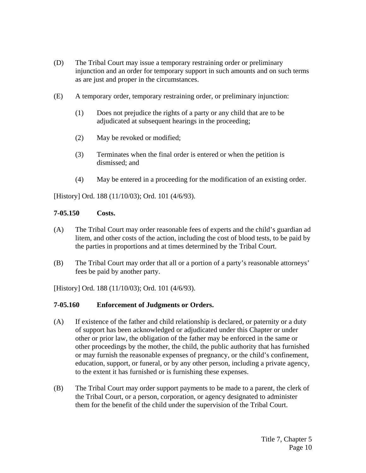- (D) The Tribal Court may issue a temporary restraining order or preliminary injunction and an order for temporary support in such amounts and on such terms as are just and proper in the circumstances.
- (E) A temporary order, temporary restraining order, or preliminary injunction:
	- (1) Does not prejudice the rights of a party or any child that are to be adjudicated at subsequent hearings in the proceeding;
	- (2) May be revoked or modified;
	- (3) Terminates when the final order is entered or when the petition is dismissed; and
	- (4) May be entered in a proceeding for the modification of an existing order.

[History] Ord. 188 (11/10/03); Ord. 101 (4/6/93).

### **7-05.150 Costs.**

- (A) The Tribal Court may order reasonable fees of experts and the child's guardian ad litem, and other costs of the action, including the cost of blood tests, to be paid by the parties in proportions and at times determined by the Tribal Court.
- (B) The Tribal Court may order that all or a portion of a party's reasonable attorneys' fees be paid by another party.

[History] Ord. 188 (11/10/03); Ord. 101 (4/6/93).

## **7-05.160 Enforcement of Judgments or Orders.**

- (A) If existence of the father and child relationship is declared, or paternity or a duty of support has been acknowledged or adjudicated under this Chapter or under other or prior law, the obligation of the father may be enforced in the same or other proceedings by the mother, the child, the public authority that has furnished or may furnish the reasonable expenses of pregnancy, or the child's confinement, education, support, or funeral, or by any other person, including a private agency, to the extent it has furnished or is furnishing these expenses.
- (B) The Tribal Court may order support payments to be made to a parent, the clerk of the Tribal Court, or a person, corporation, or agency designated to administer them for the benefit of the child under the supervision of the Tribal Court.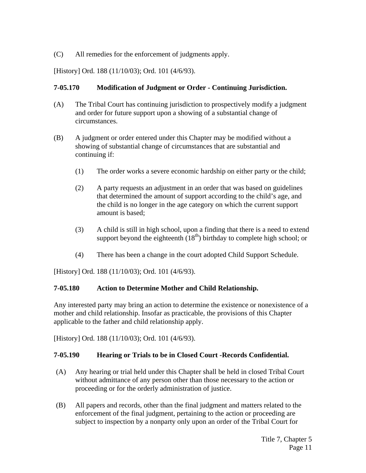(C) All remedies for the enforcement of judgments apply.

[History] Ord. 188 (11/10/03); Ord. 101 (4/6/93).

# **7-05.170 Modification of Judgment or Order - Continuing Jurisdiction.**

- (A) The Tribal Court has continuing jurisdiction to prospectively modify a judgment and order for future support upon a showing of a substantial change of circumstances.
- (B) A judgment or order entered under this Chapter may be modified without a showing of substantial change of circumstances that are substantial and continuing if:
	- (1) The order works a severe economic hardship on either party or the child;
	- (2) A party requests an adjustment in an order that was based on guidelines that determined the amount of support according to the child's age, and the child is no longer in the age category on which the current support amount is based;
	- (3) A child is still in high school, upon a finding that there is a need to extend support beyond the eighteenth  $(18<sup>th</sup>)$  birthday to complete high school; or
	- (4) There has been a change in the court adopted Child Support Schedule.

[History] Ord. 188 (11/10/03); Ord. 101 (4/6/93).

# **7-05.180 Action to Determine Mother and Child Relationship.**

Any interested party may bring an action to determine the existence or nonexistence of a mother and child relationship. Insofar as practicable, the provisions of this Chapter applicable to the father and child relationship apply.

[History] Ord. 188 (11/10/03); Ord. 101 (4/6/93).

# **7-05.190 Hearing or Trials to be in Closed Court -Records Confidential.**

- (A) Any hearing or trial held under this Chapter shall be held in closed Tribal Court without admittance of any person other than those necessary to the action or proceeding or for the orderly administration of justice.
- (B) All papers and records, other than the final judgment and matters related to the enforcement of the final judgment, pertaining to the action or proceeding are subject to inspection by a nonparty only upon an order of the Tribal Court for